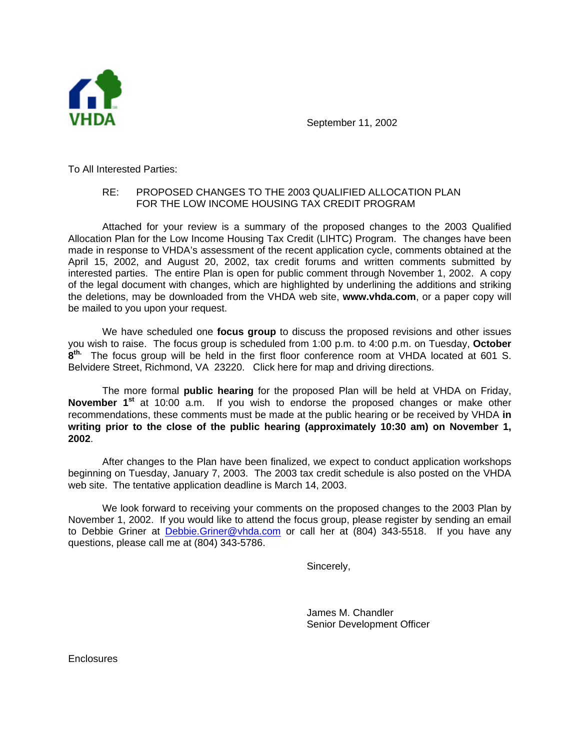

September 11, 2002

To All Interested Parties:

## RE: PROPOSED CHANGES TO THE 2003 QUALIFIED ALLOCATION PLAN FOR THE LOW INCOME HOUSING TAX CREDIT PROGRAM

Attached for your review is a summary of the proposed changes to the 2003 Qualified Allocation Plan for the Low Income Housing Tax Credit (LIHTC) Program. The changes have been made in response to VHDA's assessment of the recent application cycle, comments obtained at the April 15, 2002, and August 20, 2002, tax credit forums and written comments submitted by interested parties. The entire Plan is open for public comment through November 1, 2002. A copy of the legal document with changes, which are highlighted by underlining the additions and striking the deletions, may be downloaded from the VHDA web site, **www.vhda.com**, or a paper copy will be mailed to you upon your request.

We have scheduled one **focus group** to discuss the proposed revisions and other issues you wish to raise. The focus group is scheduled from 1:00 p.m. to 4:00 p.m. on Tuesday, **October 8 th.** The focus group will be held in the first floor conference room at VHDA located at 601 S. Belvidere Street, Richmond, VA 23220. Click here for map and driving directions.

The more formal **public hearing** for the proposed Plan will be held at VHDA on Friday, **November 1 st** at 10:00 a.m. If you wish to endorse the proposed changes or make other recommendations, these comments must be made at the public hearing or be received by VHDA **in writing prior to the close of the public hearing (approximately 10:30 am) on November 1, 2002**.

After changes to the Plan have been finalized, we expect to conduct application workshops beginning on Tuesday, January 7, 2003. The 2003 tax credit schedule is also posted on the VHDA web site. The tentative application deadline is March 14, 2003.

We look forward to receiving your comments on the proposed changes to the 2003 Plan by November 1, 2002. If you would like to attend the focus group, please register by sending an email to Debbie Griner at *Debbie.Griner@vhda.com* or call her at (804) 343-5518. If you have any questions, please call me at (804) 343-5786.

Sincerely,

James M. Chandler Senior Development Officer

**Enclosures**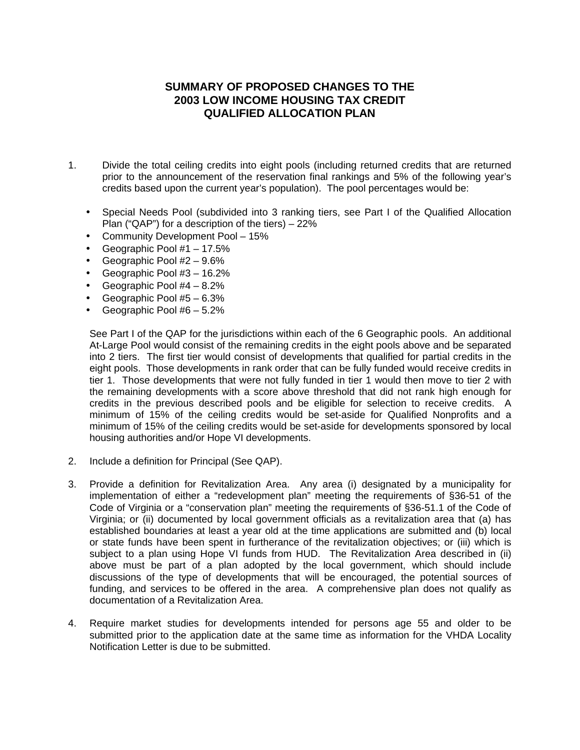# **SUMMARY OF PROPOSED CHANGES TO THE 2003 LOW INCOME HOUSING TAX CREDIT QUALIFIED ALLOCATION PLAN**

- 1. Divide the total ceiling credits into eight pools (including returned credits that are returned prior to the announcement of the reservation final rankings and 5% of the following year's credits based upon the current year's population). The pool percentages would be:
	- Special Needs Pool (subdivided into 3 ranking tiers, see Part I of the Qualified Allocation Plan ("QAP") for a description of the tiers) – 22%
	- Community Development Pool 15%
	- Geographic Pool  $#1 17.5\%$
	- Geographic Pool #2 9.6%
	- Geographic Pool #3 16.2%
	- Geographic Pool  $#4 8.2\%$
	- Geographic Pool  $#5 6.3\%$
	- Geographic Pool #6 5.2%

See Part I of the QAP for the jurisdictions within each of the 6 Geographic pools. An additional At-Large Pool would consist of the remaining credits in the eight pools above and be separated into 2 tiers. The first tier would consist of developments that qualified for partial credits in the eight pools. Those developments in rank order that can be fully funded would receive credits in tier 1. Those developments that were not fully funded in tier 1 would then move to tier 2 with the remaining developments with a score above threshold that did not rank high enough for credits in the previous described pools and be eligible for selection to receive credits. A minimum of 15% of the ceiling credits would be set-aside for Qualified Nonprofits and a minimum of 15% of the ceiling credits would be set-aside for developments sponsored by local housing authorities and/or Hope VI developments.

- 2. Include a definition for Principal (See QAP).
- 3. Provide a definition for Revitalization Area. Any area (i) designated by a municipality for implementation of either a "redevelopment plan" meeting the requirements of §36-51 of the Code of Virginia or a "conservation plan" meeting the requirements of §36-51.1 of the Code of Virginia; or (ii) documented by local government officials as a revitalization area that (a) has established boundaries at least a year old at the time applications are submitted and (b) local or state funds have been spent in furtherance of the revitalization objectives; or (iii) which is subject to a plan using Hope VI funds from HUD. The Revitalization Area described in (ii) above must be part of a plan adopted by the local government, which should include discussions of the type of developments that will be encouraged, the potential sources of funding, and services to be offered in the area. A comprehensive plan does not qualify as documentation of a Revitalization Area.
- 4. Require market studies for developments intended for persons age 55 and older to be submitted prior to the application date at the same time as information for the VHDA Locality Notification Letter is due to be submitted.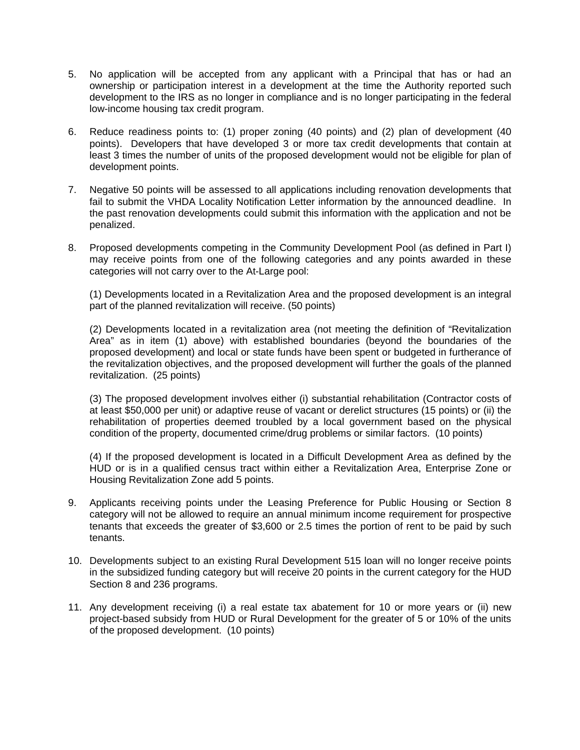- 5. No application will be accepted from any applicant with a Principal that has or had an ownership or participation interest in a development at the time the Authority reported such development to the IRS as no longer in compliance and is no longer participating in the federal low-income housing tax credit program.
- 6. Reduce readiness points to: (1) proper zoning (40 points) and (2) plan of development (40 points). Developers that have developed 3 or more tax credit developments that contain at least 3 times the number of units of the proposed development would not be eligible for plan of development points.
- 7. Negative 50 points will be assessed to all applications including renovation developments that fail to submit the VHDA Locality Notification Letter information by the announced deadline. In the past renovation developments could submit this information with the application and not be penalized.
- 8. Proposed developments competing in the Community Development Pool (as defined in Part I) may receive points from one of the following categories and any points awarded in these categories will not carry over to the At-Large pool:

(1) Developments located in a Revitalization Area and the proposed development is an integral part of the planned revitalization will receive. (50 points)

(2) Developments located in a revitalization area (not meeting the definition of "Revitalization Area" as in item (1) above) with established boundaries (beyond the boundaries of the proposed development) and local or state funds have been spent or budgeted in furtherance of the revitalization objectives, and the proposed development will further the goals of the planned revitalization. (25 points)

(3) The proposed development involves either (i) substantial rehabilitation (Contractor costs of at least \$50,000 per unit) or adaptive reuse of vacant or derelict structures (15 points) or (ii) the rehabilitation of properties deemed troubled by a local government based on the physical condition of the property, documented crime/drug problems or similar factors. (10 points)

(4) If the proposed development is located in a Difficult Development Area as defined by the HUD or is in a qualified census tract within either a Revitalization Area, Enterprise Zone or Housing Revitalization Zone add 5 points.

- 9. Applicants receiving points under the Leasing Preference for Public Housing or Section 8 category will not be allowed to require an annual minimum income requirement for prospective tenants that exceeds the greater of \$3,600 or 2.5 times the portion of rent to be paid by such tenants.
- 10. Developments subject to an existing Rural Development 515 loan will no longer receive points in the subsidized funding category but will receive 20 points in the current category for the HUD Section 8 and 236 programs.
- 11. Any development receiving (i) a real estate tax abatement for 10 or more years or (ii) new project-based subsidy from HUD or Rural Development for the greater of 5 or 10% of the units of the proposed development. (10 points)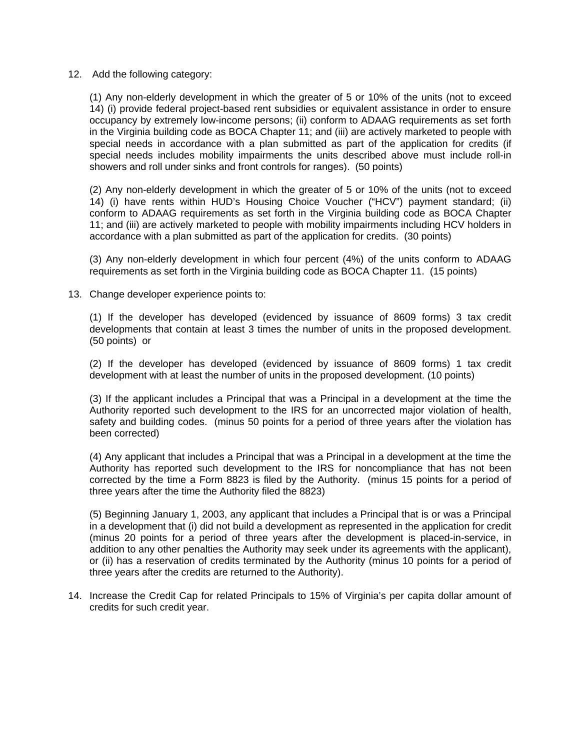#### 12. Add the following category:

(1) Any non-elderly development in which the greater of 5 or 10% of the units (not to exceed 14) (i) provide federal project-based rent subsidies or equivalent assistance in order to ensure occupancy by extremely low-income persons; (ii) conform to ADAAG requirements as set forth in the Virginia building code as BOCA Chapter 11; and (iii) are actively marketed to people with special needs in accordance with a plan submitted as part of the application for credits (if special needs includes mobility impairments the units described above must include roll-in showers and roll under sinks and front controls for ranges). (50 points)

(2) Any non-elderly development in which the greater of 5 or 10% of the units (not to exceed 14) (i) have rents within HUD's Housing Choice Voucher ("HCV") payment standard; (ii) conform to ADAAG requirements as set forth in the Virginia building code as BOCA Chapter 11; and (iii) are actively marketed to people with mobility impairments including HCV holders in accordance with a plan submitted as part of the application for credits. (30 points)

(3) Any non-elderly development in which four percent (4%) of the units conform to ADAAG requirements as set forth in the Virginia building code as BOCA Chapter 11. (15 points)

## 13. Change developer experience points to:

(1) If the developer has developed (evidenced by issuance of 8609 forms) 3 tax credit developments that contain at least 3 times the number of units in the proposed development. (50 points) or

(2) If the developer has developed (evidenced by issuance of 8609 forms) 1 tax credit development with at least the number of units in the proposed development. (10 points)

(3) If the applicant includes a Principal that was a Principal in a development at the time the Authority reported such development to the IRS for an uncorrected major violation of health, safety and building codes. (minus 50 points for a period of three years after the violation has been corrected)

(4) Any applicant that includes a Principal that was a Principal in a development at the time the Authority has reported such development to the IRS for noncompliance that has not been corrected by the time a Form 8823 is filed by the Authority. (minus 15 points for a period of three years after the time the Authority filed the 8823)

(5) Beginning January 1, 2003, any applicant that includes a Principal that is or was a Principal in a development that (i) did not build a development as represented in the application for credit (minus 20 points for a period of three years after the development is placed-in-service, in addition to any other penalties the Authority may seek under its agreements with the applicant), or (ii) has a reservation of credits terminated by the Authority (minus 10 points for a period of three years after the credits are returned to the Authority).

14. Increase the Credit Cap for related Principals to 15% of Virginia's per capita dollar amount of credits for such credit year.